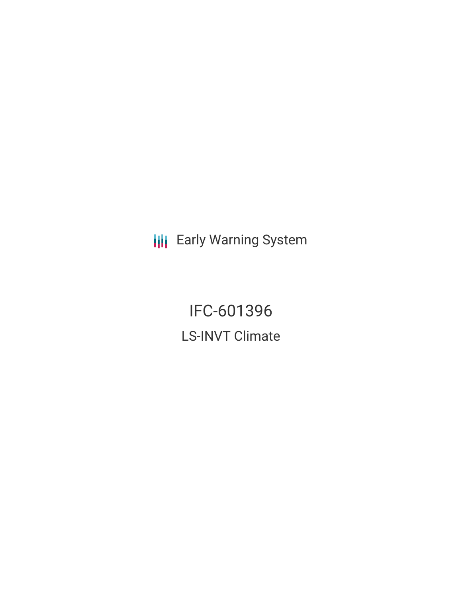**III** Early Warning System

IFC-601396 LS-INVT Climate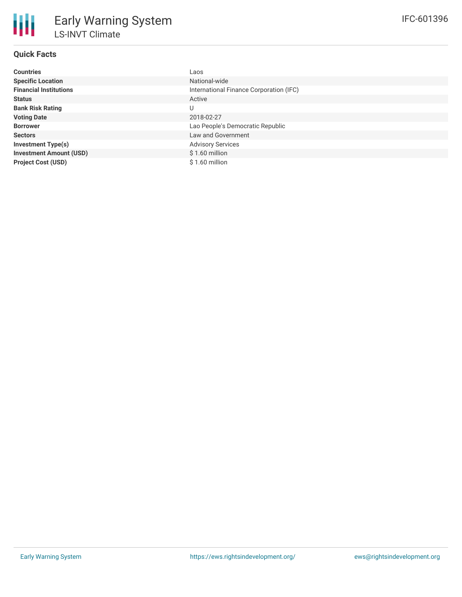# **Quick Facts**

| <b>Countries</b>               | Laos                                    |
|--------------------------------|-----------------------------------------|
| <b>Specific Location</b>       | National-wide                           |
| <b>Financial Institutions</b>  | International Finance Corporation (IFC) |
| <b>Status</b>                  | Active                                  |
| <b>Bank Risk Rating</b>        |                                         |
| <b>Voting Date</b>             | 2018-02-27                              |
| <b>Borrower</b>                | Lao People's Democratic Republic        |
| <b>Sectors</b>                 | Law and Government                      |
| <b>Investment Type(s)</b>      | <b>Advisory Services</b>                |
| <b>Investment Amount (USD)</b> | $$1.60$ million                         |
| <b>Project Cost (USD)</b>      | $$1.60$ million                         |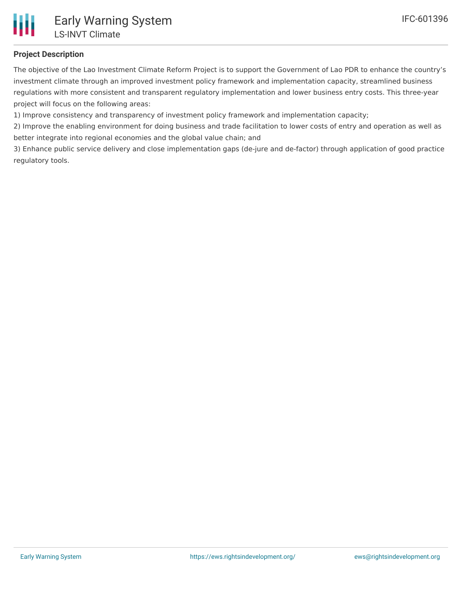

## **Project Description**

The objective of the Lao Investment Climate Reform Project is to support the Government of Lao PDR to enhance the country's investment climate through an improved investment policy framework and implementation capacity, streamlined business regulations with more consistent and transparent regulatory implementation and lower business entry costs. This three-year project will focus on the following areas:

1) Improve consistency and transparency of investment policy framework and implementation capacity;

2) Improve the enabling environment for doing business and trade facilitation to lower costs of entry and operation as well as better integrate into regional economies and the global value chain; and

3) Enhance public service delivery and close implementation gaps (de-jure and de-factor) through application of good practice regulatory tools.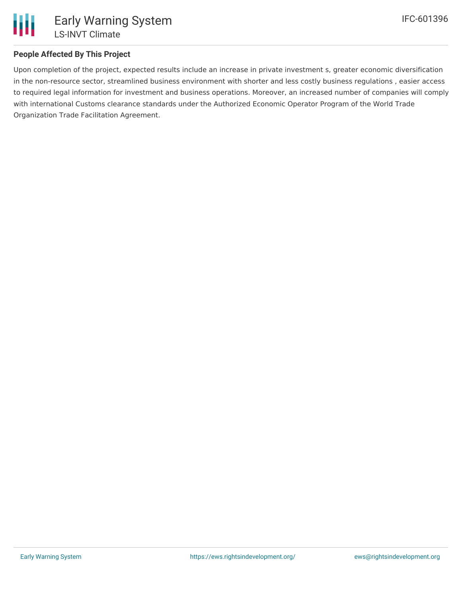

### **People Affected By This Project**

Upon completion of the project, expected results include an increase in private investment s, greater economic diversification in the non-resource sector, streamlined business environment with shorter and less costly business regulations , easier access to required legal information for investment and business operations. Moreover, an increased number of companies will comply with international Customs clearance standards under the Authorized Economic Operator Program of the World Trade Organization Trade Facilitation Agreement.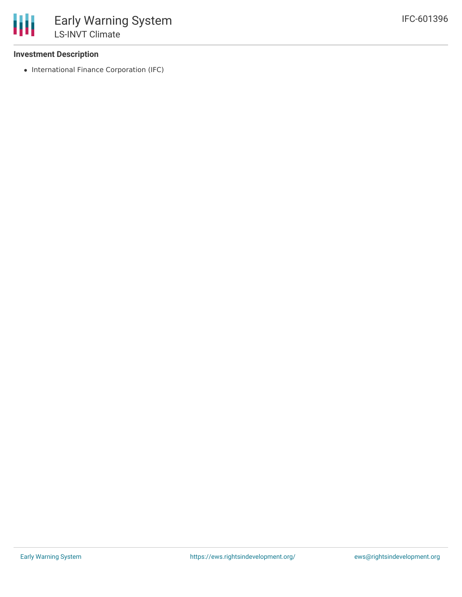#### **Investment Description**

• International Finance Corporation (IFC)